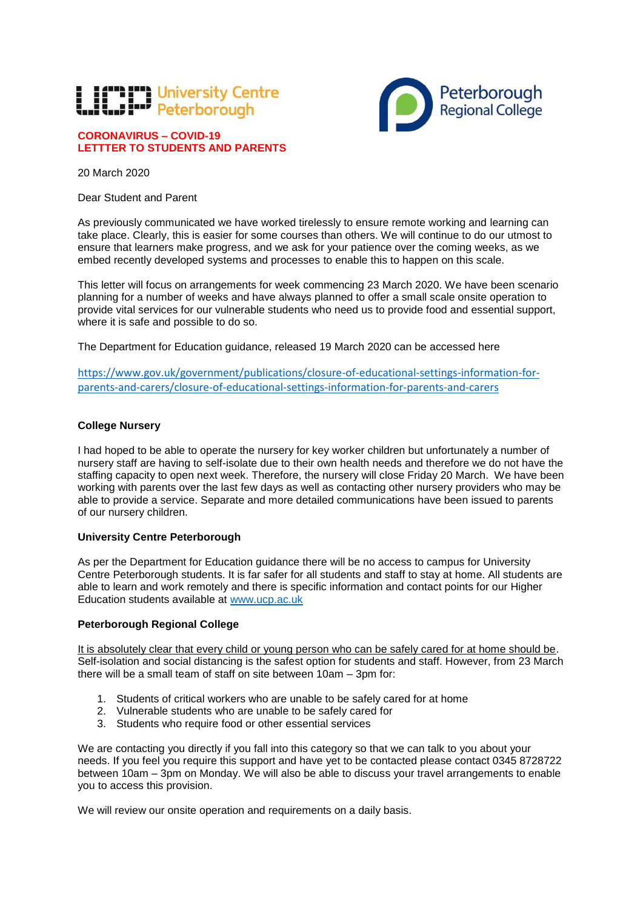# **L H<sup>em</sup> P<sup>r</sup>l** University Centre

# **CORONAVIRUS – COVID-19 LETTTER TO STUDENTS AND PARENTS**



20 March 2020

Dear Student and Parent

As previously communicated we have worked tirelessly to ensure remote working and learning can take place. Clearly, this is easier for some courses than others. We will continue to do our utmost to ensure that learners make progress, and we ask for your patience over the coming weeks, as we embed recently developed systems and processes to enable this to happen on this scale.

This letter will focus on arrangements for week commencing 23 March 2020. We have been scenario planning for a number of weeks and have always planned to offer a small scale onsite operation to provide vital services for our vulnerable students who need us to provide food and essential support, where it is safe and possible to do so.

The Department for Education guidance, released 19 March 2020 can be accessed here

[https://www.gov.uk/government/publications/closure-of-educational-settings-information-for](https://www.gov.uk/government/publications/closure-of-educational-settings-information-for-parents-and-carers/closure-of-educational-settings-information-for-parents-and-carers)[parents-and-carers/closure-of-educational-settings-information-for-parents-and-carers](https://www.gov.uk/government/publications/closure-of-educational-settings-information-for-parents-and-carers/closure-of-educational-settings-information-for-parents-and-carers)

# **College Nursery**

I had hoped to be able to operate the nursery for key worker children but unfortunately a number of nursery staff are having to self-isolate due to their own health needs and therefore we do not have the staffing capacity to open next week. Therefore, the nursery will close Friday 20 March. We have been working with parents over the last few days as well as contacting other nursery providers who may be able to provide a service. Separate and more detailed communications have been issued to parents of our nursery children.

# **University Centre Peterborough**

As per the Department for Education guidance there will be no access to campus for University Centre Peterborough students. It is far safer for all students and staff to stay at home. All students are able to learn and work remotely and there is specific information and contact points for our Higher Education students available at [www.ucp.ac.uk](http://www.ucp.ac.uk/)

# **Peterborough Regional College**

It is absolutely clear that every child or young person who can be safely cared for at home should be. Self-isolation and social distancing is the safest option for students and staff. However, from 23 March there will be a small team of staff on site between 10am – 3pm for:

- 1. Students of critical workers who are unable to be safely cared for at home
- 2. Vulnerable students who are unable to be safely cared for
- 3. Students who require food or other essential services

We are contacting you directly if you fall into this category so that we can talk to you about your needs. If you feel you require this support and have yet to be contacted please contact 0345 8728722 between 10am – 3pm on Monday. We will also be able to discuss your travel arrangements to enable you to access this provision.

We will review our onsite operation and requirements on a daily basis.